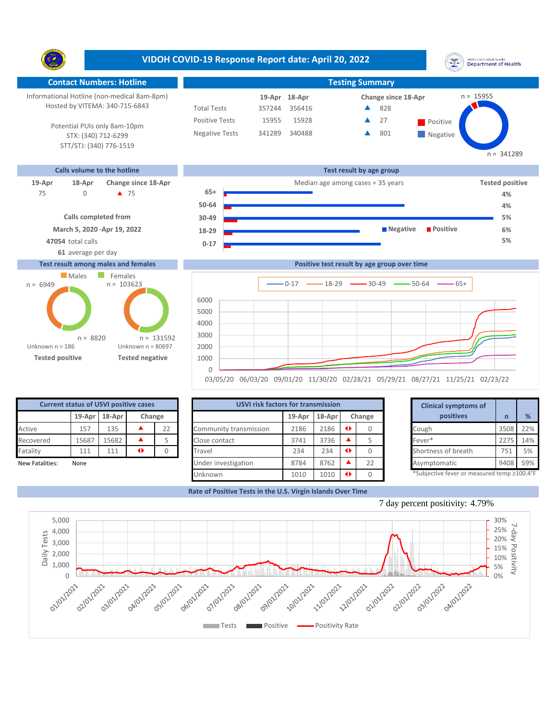Y. **Contact Numbers: Hotline Testing Summary** Informational Hotline (non-medical 8am-8pm) n = 15955 **18-Apr 19-Apr Change since 18-Apr** Hosted by VITEMA: 340-715-6843 Total Tests 357244 356416 828 ▲ Positive Tests 15955 15928 **A** 27 **Positive** 27 Â Potential PUIs only 8am-10pm Negative Tests 341289 340488 801 Δ **Negative** STX: (340) 712-6299 STT/STJ: (340) 776-1519 **Calls volume to the hotline Test result by age group**

> **0-17 18-29 30-49 50-64 65+**

## **19-Apr 18-Apr Change since 18-Apr** Median age among cases = 35 years **Tested positive**



**March 5, 2020 -Apr 19, 2022 Calls completed from**

**47054** total calls **5%**

# **61** average per day

#### **Test result among males and females**





**Positive test result by age group over time**

**Negative Positive** 

| <b>Current status of USVI positive cases</b> |        |        |        |    |  |  |  |  |  |  |  |
|----------------------------------------------|--------|--------|--------|----|--|--|--|--|--|--|--|
|                                              | 19-Apr | 18-Apr | Change |    |  |  |  |  |  |  |  |
| Active                                       | 157    | 135    |        | 22 |  |  |  |  |  |  |  |
| Recovered                                    | 15687  | 15682  |        |    |  |  |  |  |  |  |  |
| Fatality                                     | 111    | 111    |        |    |  |  |  |  |  |  |  |
| New Fatalities:                              | None   |        |        |    |  |  |  |  |  |  |  |

|                 | <b>Current status of USVI positive cases</b> |       |   |        | <b>USVI risk factors for transmission</b> |        | <b>Clinical symptoms of</b> |           |    |                                            |      |     |
|-----------------|----------------------------------------------|-------|---|--------|-------------------------------------------|--------|-----------------------------|-----------|----|--------------------------------------------|------|-----|
|                 | $19$ -Apr $18$ -Apr<br>Change                |       |   | 19-Apr | $18-Apr$                                  | Change |                             | positives |    | %                                          |      |     |
| Active          | 157                                          | 135   |   | 22     | Community transmission                    | 2186   | 2186                        |           |    | Cough                                      | 3508 | 22% |
| Recovered       | 15687                                        | 15682 |   |        | Close contact                             | 3741   | 3736                        |           |    | Fever*                                     | 2275 | 14% |
| Fatality        | 111                                          | 111   | ◆ |        | Travel                                    | 234    | 234                         |           |    | Shortness of breath                        | 751  | 5%  |
| New Fatalities: | None                                         |       |   |        | Under investigation                       | 8784   | 8762                        |           | 22 | Asymptomatic                               | 9408 | 59% |
|                 |                                              |       |   |        | Unknown                                   | 1010   | 1010                        |           |    | *Subjective fever or measured temp ≥100.4° |      |     |

|        | for transmission |   |        | <b>Clinical symptoms of</b> |                                             |  |  |  |
|--------|------------------|---|--------|-----------------------------|---------------------------------------------|--|--|--|
| 19-Apr | 18-Apr           |   | Change | positives                   |                                             |  |  |  |
| 2186   | 2186             | ◆ | 0      | Cough                       | 3508                                        |  |  |  |
| 3741   | 3736             |   |        | Fever*                      | 2275                                        |  |  |  |
| 234    | 234              | ◆ |        | Shortness of breath         | 751                                         |  |  |  |
| 8784   | 8762             |   | 22     | Asymptomatic                | 9408                                        |  |  |  |
| 1010   | 1010             | ◆ |        |                             | *Subjective fever or measured temp ≥100.4°F |  |  |  |

**Rate of Positive Tests in the U.S. Virgin Islands Over Time**





## **VIDOH COVID-19 Response Report date: April 20, 2022**

UNITED STATES VIRGIN ISLANDS<br>Department of Health

**4% 5% 6%**

 $n = 341289$